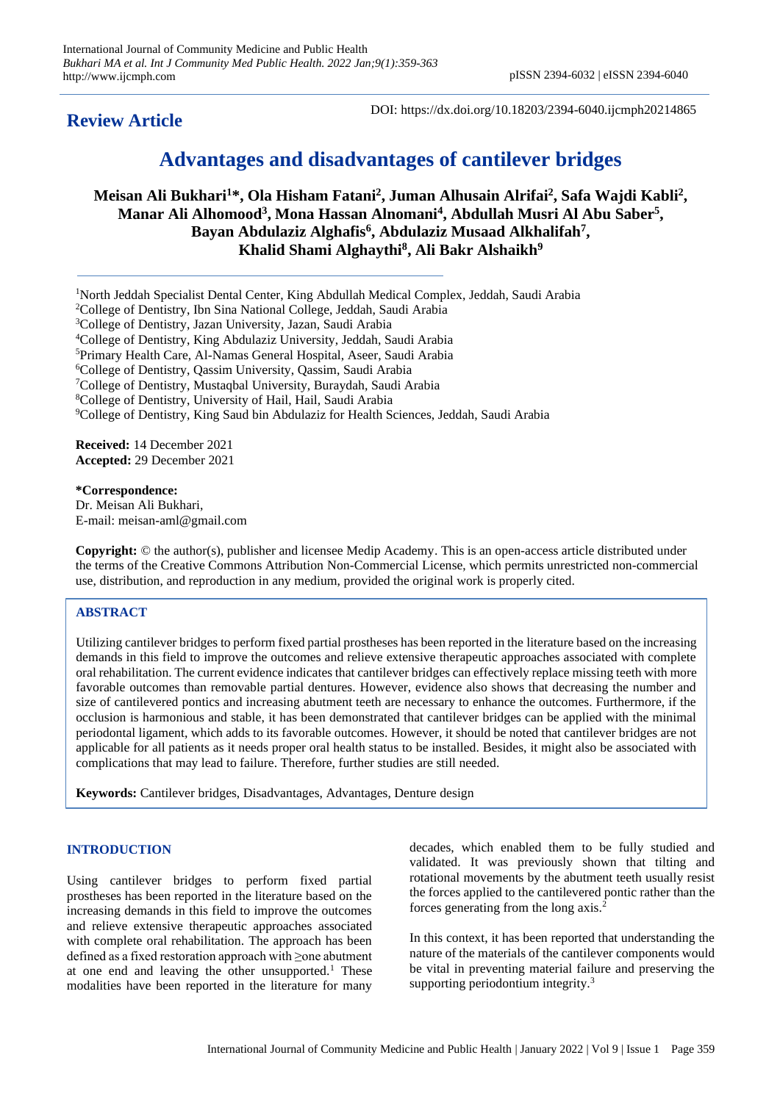## **Review Article**

DOI: https://dx.doi.org/10.18203/2394-6040.ijcmph20214865

# **Advantages and disadvantages of cantilever bridges**

**Meisan Ali Bukhari<sup>1</sup>\*, Ola Hisham Fatani<sup>2</sup> , Juman Alhusain Alrifai<sup>2</sup> , Safa Wajdi Kabli<sup>2</sup> , Manar Ali Alhomood<sup>3</sup> , Mona Hassan Alnomani<sup>4</sup> , Abdullah Musri Al Abu Saber<sup>5</sup> , Bayan Abdulaziz Alghafis<sup>6</sup> , Abdulaziz Musaad Alkhalifah<sup>7</sup> , Khalid Shami Alghaythi<sup>8</sup> , Ali Bakr Alshaikh<sup>9</sup>**

<sup>1</sup>North Jeddah Specialist Dental Center, King Abdullah Medical Complex, Jeddah, Saudi Arabia College of Dentistry, Ibn Sina National College, Jeddah, Saudi Arabia <sup>3</sup>College of Dentistry, Jazan University, Jazan, Saudi Arabia College of Dentistry, King Abdulaziz University, Jeddah, Saudi Arabia Primary Health Care, Al-Namas General Hospital, Aseer, Saudi Arabia College of Dentistry, Qassim University, Qassim, Saudi Arabia

<sup>7</sup>College of Dentistry, Mustaqbal University, Buraydah, Saudi Arabia

<sup>8</sup>College of Dentistry, University of Hail, Hail, Saudi Arabia

<sup>9</sup>College of Dentistry, King Saud bin Abdulaziz for Health Sciences, Jeddah, Saudi Arabia

**Received:** 14 December 2021 **Accepted:** 29 December 2021

**\*Correspondence:** Dr. Meisan Ali Bukhari, E-mail: meisan-aml@gmail.com

**Copyright:** © the author(s), publisher and licensee Medip Academy. This is an open-access article distributed under the terms of the Creative Commons Attribution Non-Commercial License, which permits unrestricted non-commercial use, distribution, and reproduction in any medium, provided the original work is properly cited.

### **ABSTRACT**

Utilizing cantilever bridges to perform fixed partial prostheses has been reported in the literature based on the increasing demands in this field to improve the outcomes and relieve extensive therapeutic approaches associated with complete oral rehabilitation. The current evidence indicates that cantilever bridges can effectively replace missing teeth with more favorable outcomes than removable partial dentures. However, evidence also shows that decreasing the number and size of cantilevered pontics and increasing abutment teeth are necessary to enhance the outcomes. Furthermore, if the occlusion is harmonious and stable, it has been demonstrated that cantilever bridges can be applied with the minimal periodontal ligament, which adds to its favorable outcomes. However, it should be noted that cantilever bridges are not applicable for all patients as it needs proper oral health status to be installed. Besides, it might also be associated with complications that may lead to failure. Therefore, further studies are still needed.

**Keywords:** Cantilever bridges, Disadvantages, Advantages, Denture design

#### **INTRODUCTION**

Using cantilever bridges to perform fixed partial prostheses has been reported in the literature based on the increasing demands in this field to improve the outcomes and relieve extensive therapeutic approaches associated with complete oral rehabilitation. The approach has been defined as a fixed restoration approach with ≥one abutment at one end and leaving the other unsupported.<sup>1</sup> These modalities have been reported in the literature for many decades, which enabled them to be fully studied and validated. It was previously shown that tilting and rotational movements by the abutment teeth usually resist the forces applied to the cantilevered pontic rather than the forces generating from the long  $axis.<sup>2</sup>$ 

In this context, it has been reported that understanding the nature of the materials of the cantilever components would be vital in preventing material failure and preserving the supporting periodontium integrity.<sup>3</sup>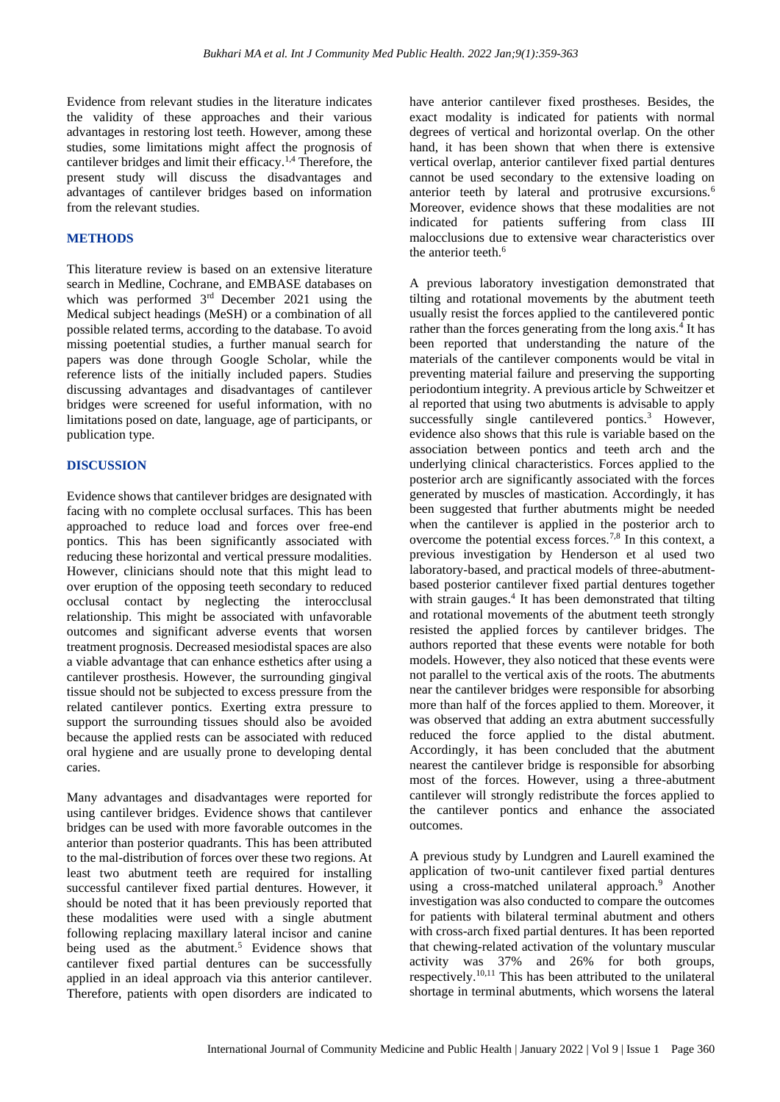Evidence from relevant studies in the literature indicates the validity of these approaches and their various advantages in restoring lost teeth. However, among these studies, some limitations might affect the prognosis of cantilever bridges and limit their efficacy.1,4 Therefore, the present study will discuss the disadvantages and advantages of cantilever bridges based on information from the relevant studies.

#### **METHODS**

This literature review is based on an extensive literature search in Medline, Cochrane, and EMBASE databases on which was performed  $3<sup>rd</sup>$  December 2021 using the Medical subject headings (MeSH) or a combination of all possible related terms, according to the database. To avoid missing poetential studies, a further manual search for papers was done through Google Scholar, while the reference lists of the initially included papers. Studies discussing advantages and disadvantages of cantilever bridges were screened for useful information, with no limitations posed on date, language, age of participants, or publication type.

#### **DISCUSSION**

Evidence shows that cantilever bridges are designated with facing with no complete occlusal surfaces. This has been approached to reduce load and forces over free-end pontics. This has been significantly associated with reducing these horizontal and vertical pressure modalities. However, clinicians should note that this might lead to over eruption of the opposing teeth secondary to reduced occlusal contact by neglecting the interocclusal relationship. This might be associated with unfavorable outcomes and significant adverse events that worsen treatment prognosis. Decreased mesiodistal spaces are also a viable advantage that can enhance esthetics after using a cantilever prosthesis. However, the surrounding gingival tissue should not be subjected to excess pressure from the related cantilever pontics. Exerting extra pressure to support the surrounding tissues should also be avoided because the applied rests can be associated with reduced oral hygiene and are usually prone to developing dental caries.

Many advantages and disadvantages were reported for using cantilever bridges. Evidence shows that cantilever bridges can be used with more favorable outcomes in the anterior than posterior quadrants. This has been attributed to the mal-distribution of forces over these two regions. At least two abutment teeth are required for installing successful cantilever fixed partial dentures. However, it should be noted that it has been previously reported that these modalities were used with a single abutment following replacing maxillary lateral incisor and canine being used as the abutment.<sup>5</sup> Evidence shows that cantilever fixed partial dentures can be successfully applied in an ideal approach via this anterior cantilever. Therefore, patients with open disorders are indicated to have anterior cantilever fixed prostheses. Besides, the exact modality is indicated for patients with normal degrees of vertical and horizontal overlap. On the other hand, it has been shown that when there is extensive vertical overlap, anterior cantilever fixed partial dentures cannot be used secondary to the extensive loading on anterior teeth by lateral and protrusive excursions.<sup>6</sup> Moreover, evidence shows that these modalities are not indicated for patients suffering from class III malocclusions due to extensive wear characteristics over the anterior teeth.<sup>6</sup>

A previous laboratory investigation demonstrated that tilting and rotational movements by the abutment teeth usually resist the forces applied to the cantilevered pontic rather than the forces generating from the long axis.<sup>4</sup> It has been reported that understanding the nature of the materials of the cantilever components would be vital in preventing material failure and preserving the supporting periodontium integrity. A previous article by Schweitzer et al reported that using two abutments is advisable to apply successfully single cantilevered pontics.<sup>3</sup> However, evidence also shows that this rule is variable based on the association between pontics and teeth arch and the underlying clinical characteristics. Forces applied to the posterior arch are significantly associated with the forces generated by muscles of mastication. Accordingly, it has been suggested that further abutments might be needed when the cantilever is applied in the posterior arch to overcome the potential excess forces.<sup>7,8</sup> In this context, a previous investigation by Henderson et al used two laboratory-based, and practical models of three-abutmentbased posterior cantilever fixed partial dentures together with strain gauges.<sup>4</sup> It has been demonstrated that tilting and rotational movements of the abutment teeth strongly resisted the applied forces by cantilever bridges. The authors reported that these events were notable for both models. However, they also noticed that these events were not parallel to the vertical axis of the roots. The abutments near the cantilever bridges were responsible for absorbing more than half of the forces applied to them. Moreover, it was observed that adding an extra abutment successfully reduced the force applied to the distal abutment. Accordingly, it has been concluded that the abutment nearest the cantilever bridge is responsible for absorbing most of the forces. However, using a three-abutment cantilever will strongly redistribute the forces applied to the cantilever pontics and enhance the associated outcomes.

A previous study by Lundgren and Laurell examined the application of two-unit cantilever fixed partial dentures using a cross-matched unilateral approach.<sup>9</sup> Another investigation was also conducted to compare the outcomes for patients with bilateral terminal abutment and others with cross-arch fixed partial dentures. It has been reported that chewing-related activation of the voluntary muscular activity was 37% and 26% for both groups, respectively.10,11 This has been attributed to the unilateral shortage in terminal abutments, which worsens the lateral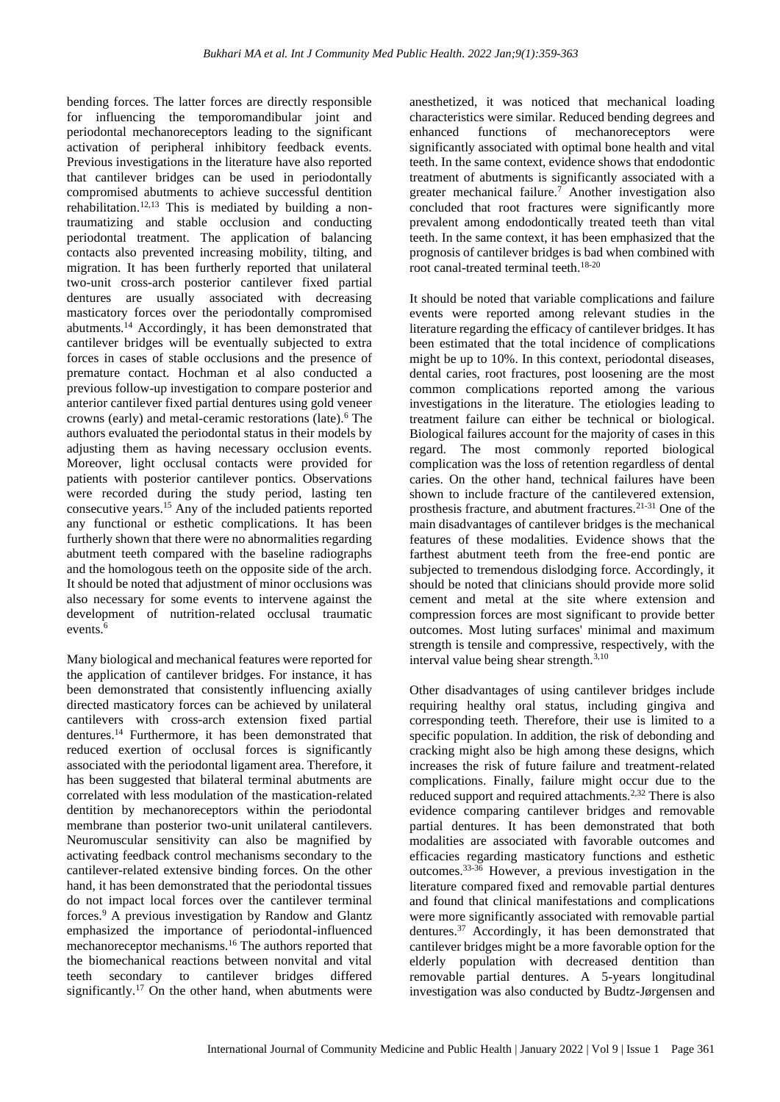bending forces. The latter forces are directly responsible for influencing the temporomandibular joint and periodontal mechanoreceptors leading to the significant activation of peripheral inhibitory feedback events. Previous investigations in the literature have also reported that cantilever bridges can be used in periodontally compromised abutments to achieve successful dentition rehabilitation.12,13 This is mediated by building a nontraumatizing and stable occlusion and conducting periodontal treatment. The application of balancing contacts also prevented increasing mobility, tilting, and migration. It has been furtherly reported that unilateral two-unit cross-arch posterior cantilever fixed partial dentures are usually associated with decreasing masticatory forces over the periodontally compromised abutments.<sup>14</sup> Accordingly, it has been demonstrated that cantilever bridges will be eventually subjected to extra forces in cases of stable occlusions and the presence of premature contact. Hochman et al also conducted a previous follow-up investigation to compare posterior and anterior cantilever fixed partial dentures using gold veneer crowns (early) and metal-ceramic restorations (late).<sup>6</sup> The authors evaluated the periodontal status in their models by adjusting them as having necessary occlusion events. Moreover, light occlusal contacts were provided for patients with posterior cantilever pontics. Observations were recorded during the study period, lasting ten consecutive years.<sup>15</sup> Any of the included patients reported any functional or esthetic complications. It has been furtherly shown that there were no abnormalities regarding abutment teeth compared with the baseline radiographs and the homologous teeth on the opposite side of the arch. It should be noted that adjustment of minor occlusions was also necessary for some events to intervene against the development of nutrition-related occlusal traumatic events.<sup>6</sup>

Many biological and mechanical features were reported for the application of cantilever bridges. For instance, it has been demonstrated that consistently influencing axially directed masticatory forces can be achieved by unilateral cantilevers with cross-arch extension fixed partial dentures.<sup>14</sup> Furthermore, it has been demonstrated that reduced exertion of occlusal forces is significantly associated with the periodontal ligament area. Therefore, it has been suggested that bilateral terminal abutments are correlated with less modulation of the mastication-related dentition by mechanoreceptors within the periodontal membrane than posterior two-unit unilateral cantilevers. Neuromuscular sensitivity can also be magnified by activating feedback control mechanisms secondary to the cantilever-related extensive binding forces. On the other hand, it has been demonstrated that the periodontal tissues do not impact local forces over the cantilever terminal forces.<sup>9</sup> A previous investigation by Randow and Glantz emphasized the importance of periodontal-influenced mechanoreceptor mechanisms.<sup>16</sup> The authors reported that the biomechanical reactions between nonvital and vital teeth secondary to cantilever bridges differed significantly.<sup>17</sup> On the other hand, when abutments were

anesthetized, it was noticed that mechanical loading characteristics were similar. Reduced bending degrees and enhanced functions of mechanoreceptors were significantly associated with optimal bone health and vital teeth. In the same context, evidence shows that endodontic treatment of abutments is significantly associated with a greater mechanical failure.<sup>7</sup> Another investigation also concluded that root fractures were significantly more prevalent among endodontically treated teeth than vital teeth. In the same context, it has been emphasized that the prognosis of cantilever bridges is bad when combined with root canal-treated terminal teeth.18-20

It should be noted that variable complications and failure events were reported among relevant studies in the literature regarding the efficacy of cantilever bridges. It has been estimated that the total incidence of complications might be up to 10%. In this context, periodontal diseases, dental caries, root fractures, post loosening are the most common complications reported among the various investigations in the literature. The etiologies leading to treatment failure can either be technical or biological. Biological failures account for the majority of cases in this regard. The most commonly reported biological complication was the loss of retention regardless of dental caries. On the other hand, technical failures have been shown to include fracture of the cantilevered extension, prosthesis fracture, and abutment fractures.<sup>21-31</sup> One of the main disadvantages of cantilever bridges is the mechanical features of these modalities. Evidence shows that the farthest abutment teeth from the free-end pontic are subjected to tremendous dislodging force. Accordingly, it should be noted that clinicians should provide more solid cement and metal at the site where extension and compression forces are most significant to provide better outcomes. Most luting surfaces' minimal and maximum strength is tensile and compressive, respectively, with the interval value being shear strength.3,10

Other disadvantages of using cantilever bridges include requiring healthy oral status, including gingiva and corresponding teeth. Therefore, their use is limited to a specific population. In addition, the risk of debonding and cracking might also be high among these designs, which increases the risk of future failure and treatment-related complications. Finally, failure might occur due to the reduced support and required attachments.<sup>2,32</sup> There is also evidence comparing cantilever bridges and removable partial dentures. It has been demonstrated that both modalities are associated with favorable outcomes and efficacies regarding masticatory functions and esthetic outcomes.33-36 However, a previous investigation in the literature compared fixed and removable partial dentures and found that clinical manifestations and complications were more significantly associated with removable partial dentures.<sup>37</sup> Accordingly, it has been demonstrated that cantilever bridges might be a more favorable option for the elderly population with decreased dentition than removable partial dentures. A 5-years longitudinal investigation was also conducted by Budtz-Jørgensen and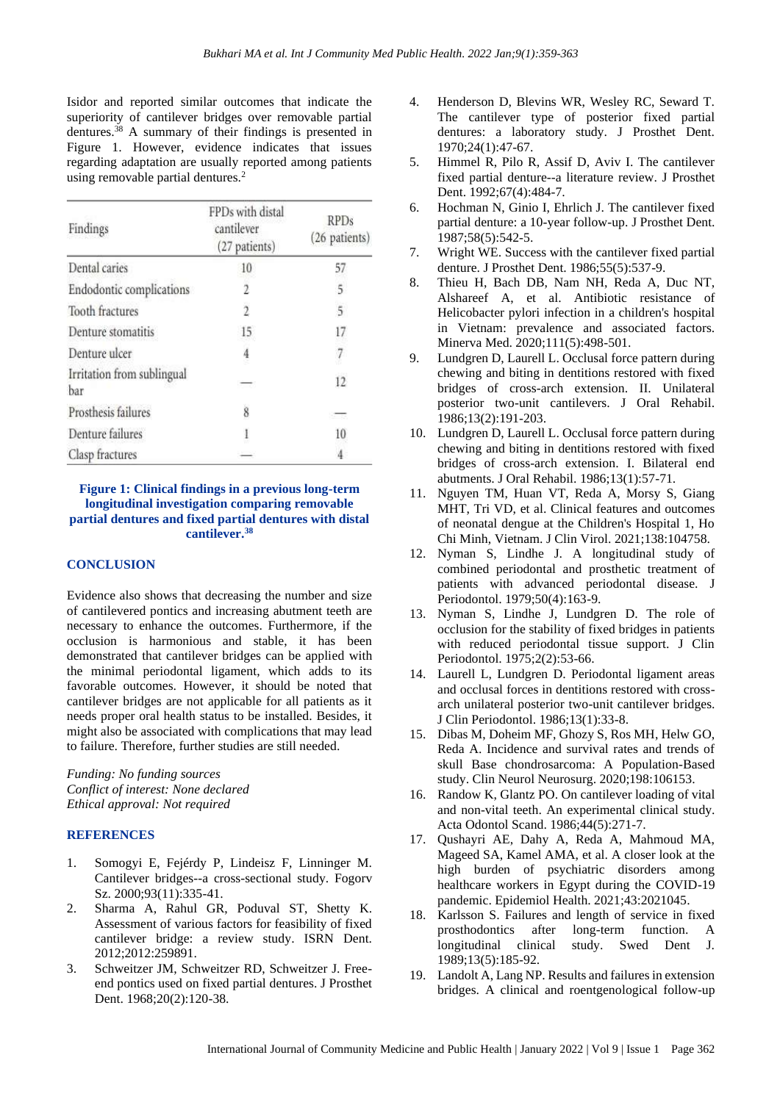Isidor and reported similar outcomes that indicate the superiority of cantilever bridges over removable partial dentures.<sup>38</sup> A summary of their findings is presented in Figure 1. However, evidence indicates that issues regarding adaptation are usually reported among patients using removable partial dentures.<sup>2</sup>

| Findings                          | FPDs with distal<br>cantilever<br>(27 patients) | <b>RPDs</b><br>(26 patients) |
|-----------------------------------|-------------------------------------------------|------------------------------|
| Dental caries                     | 10                                              | 57                           |
| Endodontic complications          | 2                                               | 5                            |
| Tooth fractures                   | $\overline{2}$                                  | 5                            |
| Denture stomatitis                | 15                                              | 17                           |
| Denture ulcer                     | $\frac{4}{3}$                                   | $\overline{7}$               |
| Irritation from sublingual<br>bar |                                                 | 12                           |
| Prosthesis failures               | 8                                               |                              |
| Denture failures                  |                                                 | 10                           |
| Clasp fractures                   |                                                 |                              |

#### **Figure 1: Clinical findings in a previous long-term longitudinal investigation comparing removable partial dentures and fixed partial dentures with distal cantilever.<sup>38</sup>**

#### **CONCLUSION**

Evidence also shows that decreasing the number and size of cantilevered pontics and increasing abutment teeth are necessary to enhance the outcomes. Furthermore, if the occlusion is harmonious and stable, it has been demonstrated that cantilever bridges can be applied with the minimal periodontal ligament, which adds to its favorable outcomes. However, it should be noted that cantilever bridges are not applicable for all patients as it needs proper oral health status to be installed. Besides, it might also be associated with complications that may lead to failure. Therefore, further studies are still needed.

*Funding: No funding sources Conflict of interest: None declared Ethical approval: Not required*

#### **REFERENCES**

- 1. Somogyi E, Fejérdy P, Lindeisz F, Linninger M. Cantilever bridges--a cross-sectional study. Fogorv Sz. 2000;93(11):335-41.
- 2. Sharma A, Rahul GR, Poduval ST, Shetty K. Assessment of various factors for feasibility of fixed cantilever bridge: a review study. ISRN Dent. 2012;2012:259891.
- 3. Schweitzer JM, Schweitzer RD, Schweitzer J. Freeend pontics used on fixed partial dentures. J Prosthet Dent. 1968:20(2):120-38.
- 4. Henderson D, Blevins WR, Wesley RC, Seward T. The cantilever type of posterior fixed partial dentures: a laboratory study. J Prosthet Dent. 1970;24(1):47-67.
- 5. Himmel R, Pilo R, Assif D, Aviv I. The cantilever fixed partial denture--a literature review. J Prosthet Dent. 1992;67(4):484-7.
- 6. Hochman N, Ginio I, Ehrlich J. The cantilever fixed partial denture: a 10-year follow-up. J Prosthet Dent. 1987;58(5):542-5.
- 7. Wright WE. Success with the cantilever fixed partial denture. J Prosthet Dent. 1986;55(5):537-9.
- 8. Thieu H, Bach DB, Nam NH, Reda A, Duc NT, Alshareef A, et al. Antibiotic resistance of Helicobacter pylori infection in a children's hospital in Vietnam: prevalence and associated factors. Minerva Med. 2020;111(5):498-501.
- 9. Lundgren D, Laurell L. Occlusal force pattern during chewing and biting in dentitions restored with fixed bridges of cross-arch extension. II. Unilateral posterior two-unit cantilevers. J Oral Rehabil. 1986;13(2):191-203.
- 10. Lundgren D, Laurell L. Occlusal force pattern during chewing and biting in dentitions restored with fixed bridges of cross-arch extension. I. Bilateral end abutments. J Oral Rehabil. 1986;13(1):57-71.
- 11. Nguyen TM, Huan VT, Reda A, Morsy S, Giang MHT, Tri VD, et al. Clinical features and outcomes of neonatal dengue at the Children's Hospital 1, Ho Chi Minh, Vietnam. J Clin Virol. 2021;138:104758.
- 12. Nyman S, Lindhe J. A longitudinal study of combined periodontal and prosthetic treatment of patients with advanced periodontal disease. J Periodontol. 1979;50(4):163-9.
- 13. Nyman S, Lindhe J, Lundgren D. The role of occlusion for the stability of fixed bridges in patients with reduced periodontal tissue support. J Clin Periodontol. 1975;2(2):53-66.
- 14. Laurell L, Lundgren D. Periodontal ligament areas and occlusal forces in dentitions restored with crossarch unilateral posterior two-unit cantilever bridges. J Clin Periodontol. 1986;13(1):33-8.
- 15. Dibas M, Doheim MF, Ghozy S, Ros MH, Helw GO, Reda A. Incidence and survival rates and trends of skull Base chondrosarcoma: A Population-Based study. Clin Neurol Neurosurg. 2020;198:106153.
- 16. Randow K, Glantz PO. On cantilever loading of vital and non-vital teeth. An experimental clinical study. Acta Odontol Scand. 1986;44(5):271-7.
- 17. Qushayri AE, Dahy A, Reda A, Mahmoud MA, Mageed SA, Kamel AMA, et al. A closer look at the high burden of psychiatric disorders among healthcare workers in Egypt during the COVID-19 pandemic. Epidemiol Health. 2021;43:2021045.
- 18. Karlsson S. Failures and length of service in fixed prosthodontics after long-term function. A longitudinal clinical study. Swed Dent J. 1989;13(5):185-92.
- 19. Landolt A, Lang NP. Results and failures in extension bridges. A clinical and roentgenological follow-up